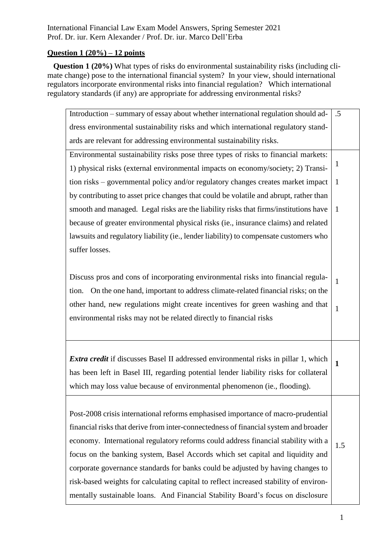International Financial Law Exam Model Answers, Spring Semester 2021 Prof. Dr. iur. Kern Alexander / Prof. Dr. iur. Marco Dell'Erba

### **Question 1 (20%) – 12 points**

**Question 1 (20%)** What types of risks do environmental sustainability risks (including climate change) pose to the international financial system? In your view, should international regulators incorporate environmental risks into financial regulation? Which international regulatory standards (if any) are appropriate for addressing environmental risks?

| Introduction – summary of essay about whether international regulation should ad-          | .5           |
|--------------------------------------------------------------------------------------------|--------------|
| dress environmental sustainability risks and which international regulatory stand-         |              |
| ards are relevant for addressing environmental sustainability risks.                       |              |
| Environmental sustainability risks pose three types of risks to financial markets:         |              |
| 1) physical risks (external environmental impacts on economy/society; 2) Transi-           | 1            |
| tion risks – governmental policy and/or regulatory changes creates market impact           | $\mathbf{1}$ |
| by contributing to asset price changes that could be volatile and abrupt, rather than      |              |
| smooth and managed. Legal risks are the liability risks that firms/institutions have       | $\mathbf{1}$ |
| because of greater environmental physical risks (ie., insurance claims) and related        |              |
| lawsuits and regulatory liability (ie., lender liability) to compensate customers who      |              |
| suffer losses.                                                                             |              |
|                                                                                            |              |
| Discuss pros and cons of incorporating environmental risks into financial regula-          | $\mathbf{1}$ |
| On the one hand, important to address climate-related financial risks; on the<br>tion.     |              |
| other hand, new regulations might create incentives for green washing and that             | 1            |
| environmental risks may not be related directly to financial risks                         |              |
|                                                                                            |              |
|                                                                                            |              |
| <i>Extra credit</i> if discusses Basel II addressed environmental risks in pillar 1, which | $\mathbf{1}$ |
| has been left in Basel III, regarding potential lender liability risks for collateral      |              |
| which may loss value because of environmental phenomenon (ie., flooding).                  |              |
|                                                                                            |              |
|                                                                                            |              |
| Post-2008 crisis international reforms emphasised importance of macro-prudential           |              |
| financial risks that derive from inter-connectedness of financial system and broader       |              |
| economy. International regulatory reforms could address financial stability with a         | 1.5          |
| focus on the banking system, Basel Accords which set capital and liquidity and             |              |
| corporate governance standards for banks could be adjusted by having changes to            |              |
| risk-based weights for calculating capital to reflect increased stability of environ-      |              |
| mentally sustainable loans. And Financial Stability Board's focus on disclosure            |              |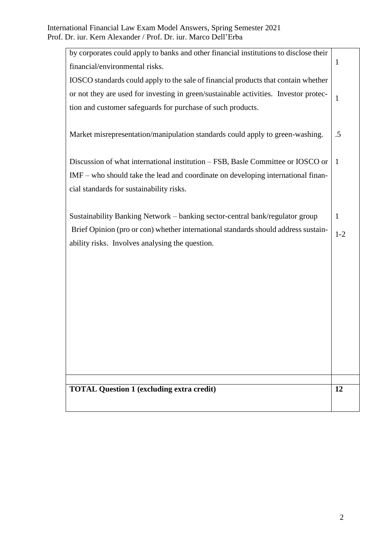|                                                             | by corporates could apply to banks and other financial institutions to disclose their | $\mathbf{1}$ |
|-------------------------------------------------------------|---------------------------------------------------------------------------------------|--------------|
| financial/environmental risks.                              |                                                                                       |              |
|                                                             | IOSCO standards could apply to the sale of financial products that contain whether    |              |
|                                                             | or not they are used for investing in green/sustainable activities. Investor protec-  | $\mathbf{1}$ |
| tion and customer safeguards for purchase of such products. |                                                                                       |              |
|                                                             |                                                                                       |              |
|                                                             | Market misrepresentation/manipulation standards could apply to green-washing.         | .5           |
|                                                             |                                                                                       |              |
|                                                             | Discussion of what international institution – FSB, Basle Committee or IOSCO or       | $\mathbf{1}$ |
|                                                             | $IMF$ – who should take the lead and coordinate on developing international finan-    |              |
| cial standards for sustainability risks.                    |                                                                                       |              |
|                                                             |                                                                                       |              |
|                                                             | Sustainability Banking Network – banking sector-central bank/regulator group          | $\mathbf{1}$ |
|                                                             | Brief Opinion (pro or con) whether international standards should address sustain-    | $1 - 2$      |
| ability risks. Involves analysing the question.             |                                                                                       |              |
|                                                             |                                                                                       |              |
|                                                             |                                                                                       |              |
|                                                             |                                                                                       |              |
|                                                             |                                                                                       |              |
|                                                             |                                                                                       |              |
|                                                             |                                                                                       |              |
|                                                             |                                                                                       |              |
|                                                             |                                                                                       |              |
|                                                             |                                                                                       |              |
|                                                             |                                                                                       |              |
| <b>TOTAL Question 1 (excluding extra credit)</b>            |                                                                                       | 12           |
|                                                             |                                                                                       |              |
|                                                             |                                                                                       |              |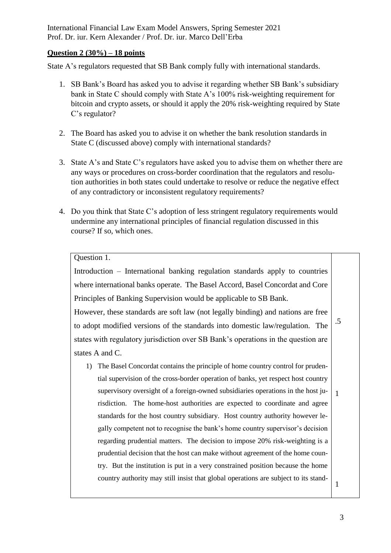International Financial Law Exam Model Answers, Spring Semester 2021 Prof. Dr. iur. Kern Alexander / Prof. Dr. iur. Marco Dell'Erba

#### **Question 2 (30%) – 18 points**

State A's regulators requested that SB Bank comply fully with international standards.

- 1. SB Bank's Board has asked you to advise it regarding whether SB Bank's subsidiary bank in State C should comply with State A's 100% risk-weighting requirement for bitcoin and crypto assets, or should it apply the 20% risk-weighting required by State C's regulator?
- 2. The Board has asked you to advise it on whether the bank resolution standards in State C (discussed above) comply with international standards?
- 3. State A's and State C's regulators have asked you to advise them on whether there are any ways or procedures on cross-border coordination that the regulators and resolution authorities in both states could undertake to resolve or reduce the negative effect of any contradictory or inconsistent regulatory requirements?
- 4. Do you think that State C's adoption of less stringent regulatory requirements would undermine any international principles of financial regulation discussed in this course? If so, which ones.

### Question 1.

Introduction – International banking regulation standards apply to countries where international banks operate. The Basel Accord, Basel Concordat and Core Principles of Banking Supervision would be applicable to SB Bank.

However, these standards are soft law (not legally binding) and nations are free to adopt modified versions of the standards into domestic law/regulation. The states with regulatory jurisdiction over SB Bank's operations in the question are states A and C. .5

1) The Basel Concordat contains the principle of home country control for prudential supervision of the cross-border operation of banks, yet respect host country supervisory oversight of a foreign-owned subsidiaries operations in the host jurisdiction. The home-host authorities are expected to coordinate and agree standards for the host country subsidiary. Host country authority however legally competent not to recognise the bank's home country supervisor's decision regarding prudential matters. The decision to impose 20% risk-weighting is a prudential decision that the host can make without agreement of the home country. But the institution is put in a very constrained position because the home country authority may still insist that global operations are subject to its stand- 1 1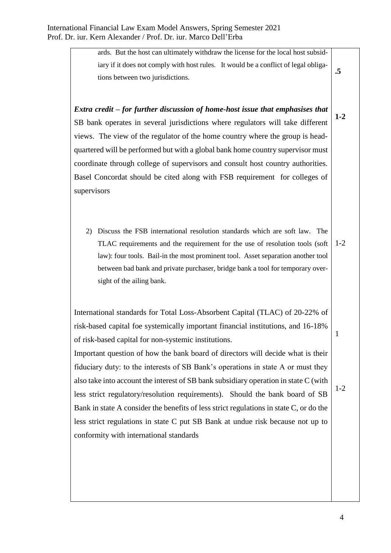ards. But the host can ultimately withdraw the license for the local host subsidiary if it does not comply with host rules. It would be a conflict of legal obligations between two jurisdictions. **.5**

*Extra credit – for further discussion of home-host issue that emphasises that*  SB bank operates in several jurisdictions where regulators will take different views. The view of the regulator of the home country where the group is headquartered will be performed but with a global bank home country supervisor must coordinate through college of supervisors and consult host country authorities. Basel Concordat should be cited along with FSB requirement for colleges of supervisors

2) Discuss the FSB international resolution standards which are soft law. The TLAC requirements and the requirement for the use of resolution tools (soft law): four tools. Bail-in the most prominent tool. Asset separation another tool between bad bank and private purchaser, bridge bank a tool for temporary oversight of the ailing bank. 1-2

International standards for Total Loss-Absorbent Capital (TLAC) of 20-22% of risk-based capital foe systemically important financial institutions, and 16-18% of risk-based capital for non-systemic institutions.

Important question of how the bank board of directors will decide what is their fiduciary duty: to the interests of SB Bank's operations in state A or must they also take into account the interest of SB bank subsidiary operation in state C (with less strict regulatory/resolution requirements). Should the bank board of SB Bank in state A consider the benefits of less strict regulations in state C, or do the less strict regulations in state C put SB Bank at undue risk because not up to conformity with international standards

1-2

1

**1-2**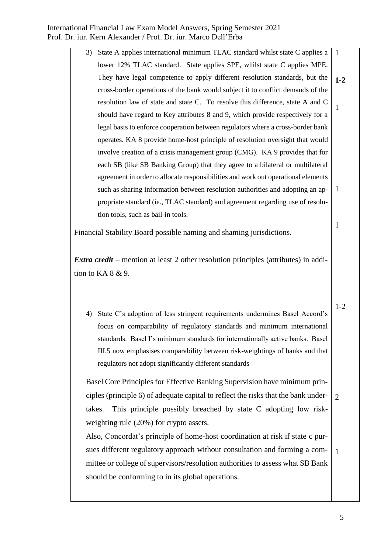| 3) | State A applies international minimum TLAC standard whilst state C applies a      | $\overline{1}$ |
|----|-----------------------------------------------------------------------------------|----------------|
|    | lower 12% TLAC standard. State applies SPE, whilst state C applies MPE.           |                |
|    | They have legal competence to apply different resolution standards, but the       | $1 - 2$        |
|    | cross-border operations of the bank would subject it to conflict demands of the   |                |
|    | resolution law of state and state C. To resolve this difference, state A and C    |                |
|    | should have regard to Key attributes 8 and 9, which provide respectively for a    |                |
|    | legal basis to enforce cooperation between regulators where a cross-border bank   |                |
|    | operates. KA 8 provide home-host principle of resolution oversight that would     |                |
|    | involve creation of a crisis management group (CMG). KA 9 provides that for       |                |
|    | each SB (like SB Banking Group) that they agree to a bilateral or multilateral    |                |
|    | agreement in order to allocate responsibilities and work out operational elements |                |
|    | such as sharing information between resolution authorities and adopting an ap-    |                |
|    | propriate standard (ie., TLAC standard) and agreement regarding use of resolu-    |                |
|    | tion tools, such as bail-in tools.                                                |                |
|    |                                                                                   |                |

Financial Stability Board possible naming and shaming jurisdictions.

*Extra credit* – mention at least 2 other resolution principles (attributes) in addition to KA 8 & 9.

4) State C's adoption of less stringent requirements undermines Basel Accord's focus on comparability of regulatory standards and minimum international standards. Basel I's minimum standards for internationally active banks. Basel III.5 now emphasises comparability between risk-weightings of banks and that regulators not adopt significantly different standards 1-2

Basel Core Principles for Effective Banking Supervision have minimum principles (principle 6) of adequate capital to reflect the risks that the bank undertakes. This principle possibly breached by state C adopting low riskweighting rule (20%) for crypto assets. 2

Also, Concordat's principle of home-host coordination at risk if state c pursues different regulatory approach without consultation and forming a committee or college of supervisors/resolution authorities to assess what SB Bank should be conforming to in its global operations. 1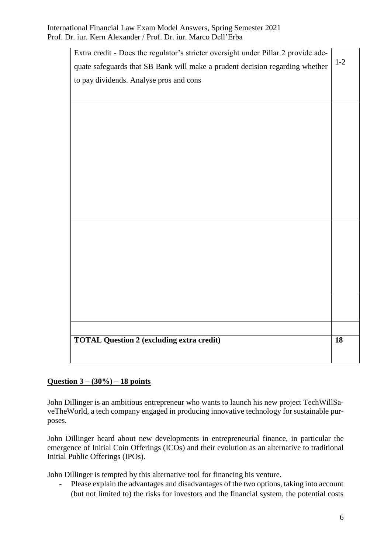| <b>TOTAL Question 2 (excluding extra credit)</b>                                   | 18    |
|------------------------------------------------------------------------------------|-------|
|                                                                                    |       |
|                                                                                    |       |
|                                                                                    |       |
|                                                                                    |       |
|                                                                                    |       |
|                                                                                    |       |
|                                                                                    |       |
|                                                                                    |       |
|                                                                                    |       |
|                                                                                    |       |
|                                                                                    |       |
|                                                                                    |       |
|                                                                                    |       |
| to pay dividends. Analyse pros and cons                                            |       |
| quate safeguards that SB Bank will make a prudent decision regarding whether       | $1-2$ |
| Extra credit - Does the regulator's stricter oversight under Pillar 2 provide ade- |       |

## **Question 3 – (30%) – 18 points**

John Dillinger is an ambitious entrepreneur who wants to launch his new project TechWillSaveTheWorld, a tech company engaged in producing innovative technology for sustainable purposes.

John Dillinger heard about new developments in entrepreneurial finance, in particular the emergence of Initial Coin Offerings (ICOs) and their evolution as an alternative to traditional Initial Public Offerings (IPOs).

John Dillinger is tempted by this alternative tool for financing his venture.

- Please explain the advantages and disadvantages of the two options, taking into account (but not limited to) the risks for investors and the financial system, the potential costs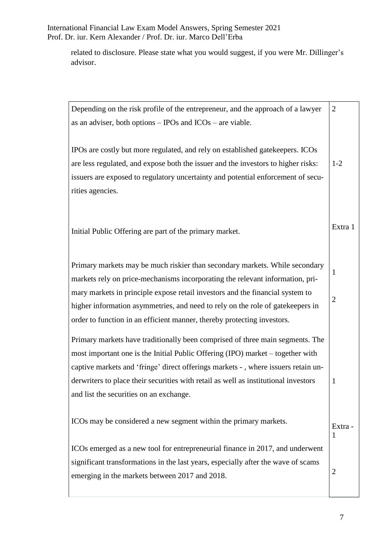International Financial Law Exam Model Answers, Spring Semester 2021 Prof. Dr. iur. Kern Alexander / Prof. Dr. iur. Marco Dell'Erba

related to disclosure. Please state what you would suggest, if you were Mr. Dillinger's advisor.

| Depending on the risk profile of the entrepreneur, and the approach of a lawyer     | $\overline{2}$ |
|-------------------------------------------------------------------------------------|----------------|
| as an adviser, both options $-$ IPOs and ICOs $-$ are viable.                       |                |
|                                                                                     |                |
| IPOs are costly but more regulated, and rely on established gatekeepers. ICOs       |                |
| are less regulated, and expose both the issuer and the investors to higher risks:   | $1 - 2$        |
| issuers are exposed to regulatory uncertainty and potential enforcement of secu-    |                |
| rities agencies.                                                                    |                |
|                                                                                     |                |
|                                                                                     | Extra 1        |
| Initial Public Offering are part of the primary market.                             |                |
|                                                                                     |                |
| Primary markets may be much riskier than secondary markets. While secondary         |                |
| markets rely on price-mechanisms incorporating the relevant information, pri-       | 1              |
| mary markets in principle expose retail investors and the financial system to       | $\overline{2}$ |
| higher information asymmetries, and need to rely on the role of gatekeepers in      |                |
| order to function in an efficient manner, thereby protecting investors.             |                |
| Primary markets have traditionally been comprised of three main segments. The       |                |
| most important one is the Initial Public Offering (IPO) market – together with      |                |
| captive markets and 'fringe' direct offerings markets -, where issuers retain un-   |                |
| derwriters to place their securities with retail as well as institutional investors | $\mathbf{1}$   |
| and list the securities on an exchange.                                             |                |
|                                                                                     |                |
| ICOs may be considered a new segment within the primary markets.                    | Extra -        |
|                                                                                     | $\mathbf{1}$   |
| ICOs emerged as a new tool for entrepreneurial finance in 2017, and underwent       |                |
| significant transformations in the last years, especially after the wave of scams   |                |
| emerging in the markets between 2017 and 2018.                                      | $\overline{2}$ |
|                                                                                     |                |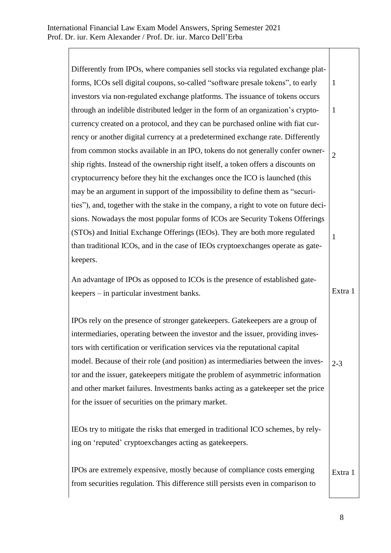Differently from IPOs, where companies sell stocks via regulated exchange platforms, ICOs sell digital coupons, so-called "software presale tokens", to early investors via non-regulated exchange platforms. The issuance of tokens occurs through an indelible distributed ledger in the form of an organization's cryptocurrency created on a protocol, and they can be purchased online with fiat currency or another digital currency at a predetermined exchange rate. Differently from common stocks available in an IPO, tokens do not generally confer ownership rights. Instead of the ownership right itself, a token offers a discounts on cryptocurrency before they hit the exchanges once the ICO is launched (this may be an argument in support of the impossibility to define them as "securities"), and, together with the stake in the company, a right to vote on future decisions. Nowadays the most popular forms of ICOs are Security Tokens Offerings (STOs) and Initial Exchange Offerings (IEOs). They are both more regulated than traditional ICOs, and in the case of IEOs cryptoexchanges operate as gatekeepers. An advantage of IPOs as opposed to ICOs is the presence of established gatekeepers – in particular investment banks. IPOs rely on the presence of stronger gatekeepers. Gatekeepers are a group of intermediaries, operating between the investor and the issuer, providing investors with certification or verification services via the reputational capital model. Because of their role (and position) as intermediaries between the investor and the issuer, gatekeepers mitigate the problem of asymmetric information and other market failures. Investments banks acting as a gatekeeper set the price for the issuer of securities on the primary market. IEOs try to mitigate the risks that emerged in traditional ICO schemes, by relying on 'reputed' cryptoexchanges acting as gatekeepers. IPOs are extremely expensive, mostly because of compliance costs emerging from securities regulation. This difference still persists even in comparison to 1 1 2 1 Extra 1 2-3 Extra 1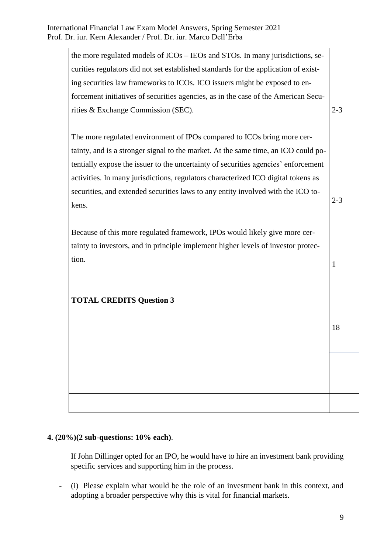| the more regulated models of ICOs – IEOs and STOs. In many jurisdictions, se-       |         |
|-------------------------------------------------------------------------------------|---------|
| curities regulators did not set established standards for the application of exist- |         |
| ing securities law frameworks to ICOs. ICO issuers might be exposed to en-          |         |
| forcement initiatives of securities agencies, as in the case of the American Secu-  |         |
| rities & Exchange Commission (SEC).                                                 | $2 - 3$ |
|                                                                                     |         |
| The more regulated environment of IPOs compared to ICOs bring more cer-             |         |
| tainty, and is a stronger signal to the market. At the same time, an ICO could po-  |         |
| tentially expose the issuer to the uncertainty of securities agencies' enforcement  |         |
| activities. In many jurisdictions, regulators characterized ICO digital tokens as   |         |
| securities, and extended securities laws to any entity involved with the ICO to-    |         |
| kens.                                                                               | $2 - 3$ |
|                                                                                     |         |
| Because of this more regulated framework, IPOs would likely give more cer-          |         |
| tainty to investors, and in principle implement higher levels of investor protec-   |         |
| tion.                                                                               | 1       |
|                                                                                     |         |
|                                                                                     |         |
| <b>TOTAL CREDITS Question 3</b>                                                     |         |
|                                                                                     |         |
|                                                                                     | 18      |
|                                                                                     |         |
|                                                                                     |         |
|                                                                                     |         |
|                                                                                     |         |
|                                                                                     |         |
|                                                                                     |         |

# **4. (20%)(2 sub-questions: 10% each)**.

If John Dillinger opted for an IPO, he would have to hire an investment bank providing specific services and supporting him in the process.

- (i) Please explain what would be the role of an investment bank in this context, and adopting a broader perspective why this is vital for financial markets.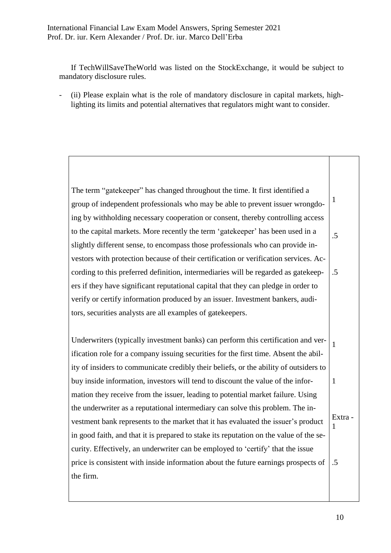If TechWillSaveTheWorld was listed on the StockExchange, it would be subject to mandatory disclosure rules.

(ii) Please explain what is the role of mandatory disclosure in capital markets, highlighting its limits and potential alternatives that regulators might want to consider.

The term "gatekeeper" has changed throughout the time. It first identified a group of independent professionals who may be able to prevent issuer wrongdoing by withholding necessary cooperation or consent, thereby controlling access to the capital markets. More recently the term 'gatekeeper' has been used in a slightly different sense, to encompass those professionals who can provide investors with protection because of their certification or verification services. According to this preferred definition, intermediaries will be regarded as gatekeepers if they have significant reputational capital that they can pledge in order to verify or certify information produced by an issuer. Investment bankers, auditors, securities analysts are all examples of gatekeepers. Underwriters (typically investment banks) can perform this certification and verification role for a company issuing securities for the first time. Absent the ability of insiders to communicate credibly their beliefs, or the ability of outsiders to buy inside information, investors will tend to discount the value of the information they receive from the issuer, leading to potential market failure. Using the underwriter as a reputational intermediary can solve this problem. The investment bank represents to the market that it has evaluated the issuer's product in good faith, and that it is prepared to stake its reputation on the value of the security. Effectively, an underwriter can be employed to 'certify' that the issue price is consistent with inside information about the future earnings prospects of the firm. 1 .5 .5 1 1 Extra - 1 .5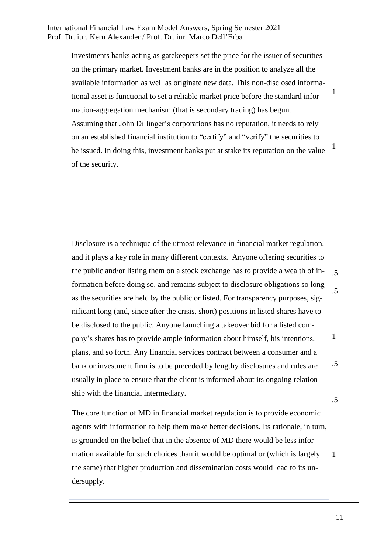Investments banks acting as gatekeepers set the price for the issuer of securities on the primary market. Investment banks are in the position to analyze all the available information as well as originate new data. This non-disclosed informational asset is functional to set a reliable market price before the standard information-aggregation mechanism (that is secondary trading) has begun. Assuming that John Dillinger's corporations has no reputation, it needs to rely on an established financial institution to "certify" and "verify" the securities to be issued. In doing this, investment banks put at stake its reputation on the value of the security. 1 1

Disclosure is a technique of the utmost relevance in financial market regulation, and it plays a key role in many different contexts. Anyone offering securities to the public and/or listing them on a stock exchange has to provide a wealth of information before doing so, and remains subject to disclosure obligations so long as the securities are held by the public or listed. For transparency purposes, significant long (and, since after the crisis, short) positions in listed shares have to be disclosed to the public. Anyone launching a takeover bid for a listed company's shares has to provide ample information about himself, his intentions, plans, and so forth. Any financial services contract between a consumer and a bank or investment firm is to be preceded by lengthy disclosures and rules are usually in place to ensure that the client is informed about its ongoing relationship with the financial intermediary. .5 .5 1 .5 .5

The core function of MD in financial market regulation is to provide economic agents with information to help them make better decisions. Its rationale, in turn, is grounded on the belief that in the absence of MD there would be less information available for such choices than it would be optimal or (which is largely the same) that higher production and dissemination costs would lead to its undersupply.

1